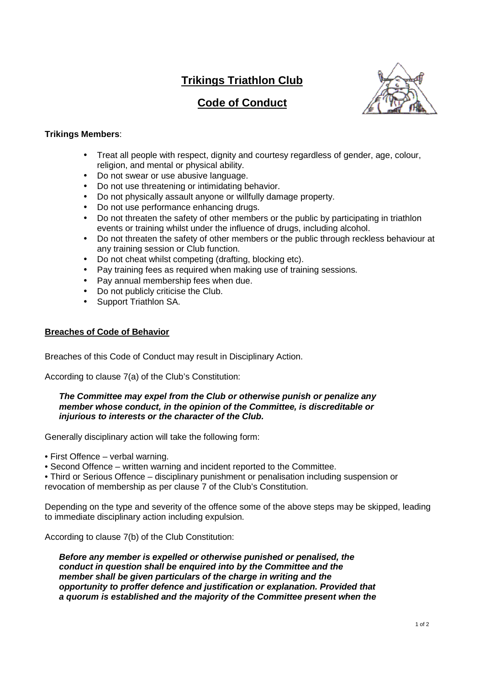# **Trikings Triathlon Club**



## **Code of Conduct**

### **Trikings Members**:

- Treat all people with respect, dignity and courtesy regardless of gender, age, colour, religion, and mental or physical ability.
- Do not swear or use abusive language.
- Do not use threatening or intimidating behavior.
- Do not physically assault anyone or willfully damage property.
- Do not use performance enhancing drugs.
- Do not threaten the safety of other members or the public by participating in triathlon events or training whilst under the influence of drugs, including alcohol.
- Do not threaten the safety of other members or the public through reckless behaviour at any training session or Club function.
- Do not cheat whilst competing (drafting, blocking etc).
- Pay training fees as required when making use of training sessions.
- Pay annual membership fees when due.
- Do not publicly criticise the Club.
- Support Triathlon SA.

#### **Breaches of Code of Behavior**

Breaches of this Code of Conduct may result in Disciplinary Action.

According to clause 7(a) of the Club's Constitution:

#### **The Committee may expel from the Club or otherwise punish or penalize any member whose conduct, in the opinion of the Committee, is discreditable or injurious to interests or the character of the Club.**

Generally disciplinary action will take the following form:

- First Offence verbal warning.
- Second Offence written warning and incident reported to the Committee.

• Third or Serious Offence – disciplinary punishment or penalisation including suspension or revocation of membership as per clause 7 of the Club's Constitution.

Depending on the type and severity of the offence some of the above steps may be skipped, leading to immediate disciplinary action including expulsion.

According to clause 7(b) of the Club Constitution:

**Before any member is expelled or otherwise punished or penalised, the conduct in question shall be enquired into by the Committee and the member shall be given particulars of the charge in writing and the opportunity to proffer defence and justification or explanation. Provided that a quorum is established and the majority of the Committee present when the**